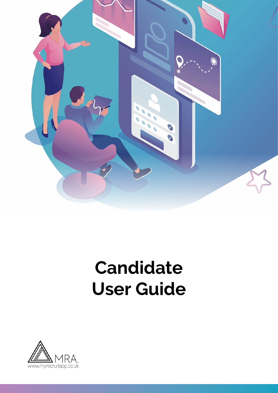

# **Candidate User Guide**

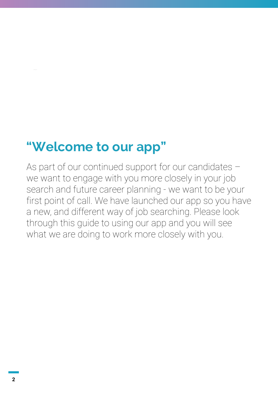### **"Welcome to our app"**

As part of our continued support for our candidates – we want to engage with you more closely in your job search and future career planning - we want to be your first point of call. We have launched our app so you have a new, and different way of job searching. Please look through this guide to using our app and you will see what we are doing to work more closely with you.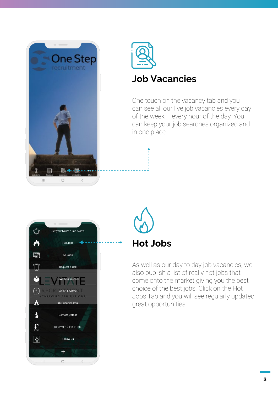



#### **Job Vacancies**

One touch on the vacancy tab and you can see all our live job vacancies every day of the week – every hour of the day. You can keep your job searches organized and in one place.





As well as our day to day job vacancies, we also publish a list of really hot jobs that come onto the market giving you the best choice of the best jobs. Click on the Hot Jobs Tab and you will see regularly updated great opportunities.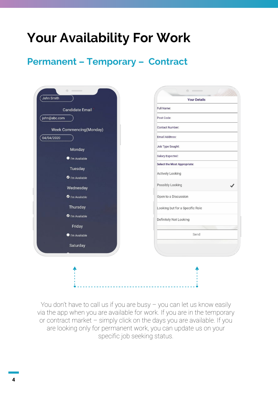## **Your Availability For Work**

#### **Permanent – Temporary – Contract**

| John Smith                 | <b>Your Details</b>             |
|----------------------------|---------------------------------|
| <b>Candidate Email</b>     | Full Name:                      |
| john@abc.com               | Post Code:                      |
| Week Commencing(Monday)    | Contact Number:                 |
| 04/04/2020                 | Email Address:                  |
| Monday                     | Job Type Sought:                |
| ● I'm Available            | Salary Expected:                |
| Tuesday                    | Select the Most Appropriate:    |
| <sup>O</sup> I'm Available | Actively Looking                |
| Wednesday                  | Possibly Looking                |
| Trn Available              | Open to a Discussion            |
| Thursday                   | Looking but for a Specific Role |
| <sup>1</sup> m Available   | Definitely Not Looking          |
| Friday                     |                                 |
| I'm Available              | Send                            |
| Saturday                   |                                 |
|                            |                                 |
|                            |                                 |
|                            |                                 |

You don't have to call us if you are busy – you can let us know easily via the app when you are available for work. If you are in the temporary or contract market – simply click on the days you are available. If you are looking only for permanent work, you can update us on your specific job seeking status.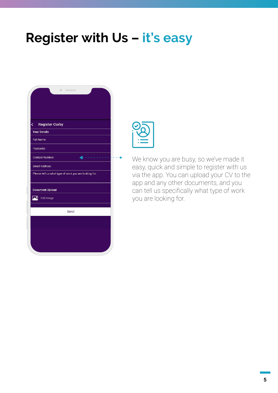### **Register with Us – it's easy**

| ¢                   | <b>Register Corby</b>  |                                                       |  |
|---------------------|------------------------|-------------------------------------------------------|--|
| <b>Your Details</b> |                        |                                                       |  |
| Full Name:          |                        |                                                       |  |
| Postcode:           |                        |                                                       |  |
|                     | Contact Number:        |                                                       |  |
| Email Address:      |                        |                                                       |  |
|                     |                        | Please tell us what type of work you are looking for: |  |
|                     | <b>Document Upload</b> |                                                       |  |
|                     | Add Image              |                                                       |  |
|                     |                        | Send                                                  |  |
|                     |                        |                                                       |  |
|                     |                        |                                                       |  |
|                     |                        |                                                       |  |
|                     |                        |                                                       |  |
|                     |                        |                                                       |  |



We know you are busy, so we've made it easy, quick and simple to register with us via the app. You can upload your CV to the app and any other documents, and you can tell us specifically what type of work you are looking for.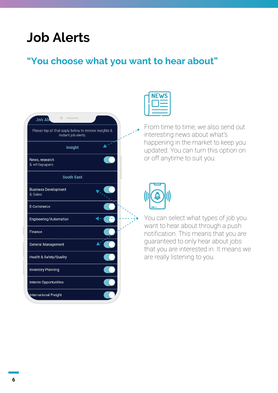### **Job Alerts**

#### **"You choose what you want to hear about"**

| $\begin{picture}(20,20) \put(0,0){\dashbox{0.5}(5,0){ }} \put(15,0){\circle{10}} \put(25,0){\circle{10}} \put(25,0){\circle{10}} \put(25,0){\circle{10}} \put(25,0){\circle{10}} \put(25,0){\circle{10}} \put(25,0){\circle{10}} \put(25,0){\circle{10}} \put(25,0){\circle{10}} \put(25,0){\circle{10}} \put(25,0){\circle{10}} \put(25,0){\circle{10}} \put(25,0){\circle{10}} \put(25,0$<br><b>Job Ale</b> |  |
|---------------------------------------------------------------------------------------------------------------------------------------------------------------------------------------------------------------------------------------------------------------------------------------------------------------------------------------------------------------------------------------------------------------|--|
| Please tap all that apply below to receive insights &<br>instant job alerts.                                                                                                                                                                                                                                                                                                                                  |  |
| Insight                                                                                                                                                                                                                                                                                                                                                                                                       |  |
| News, research<br>& whitepapers                                                                                                                                                                                                                                                                                                                                                                               |  |
| <b>South East</b>                                                                                                                                                                                                                                                                                                                                                                                             |  |
| <b>Business Development</b><br>& Sales                                                                                                                                                                                                                                                                                                                                                                        |  |
| E-Commerce                                                                                                                                                                                                                                                                                                                                                                                                    |  |
| Engineering/Automation                                                                                                                                                                                                                                                                                                                                                                                        |  |
| Finance                                                                                                                                                                                                                                                                                                                                                                                                       |  |
| General Management                                                                                                                                                                                                                                                                                                                                                                                            |  |
| Health & Safety/Quality                                                                                                                                                                                                                                                                                                                                                                                       |  |
| <b>Inventory Planning</b>                                                                                                                                                                                                                                                                                                                                                                                     |  |
| Interim Opportunities                                                                                                                                                                                                                                                                                                                                                                                         |  |
| International Freight                                                                                                                                                                                                                                                                                                                                                                                         |  |



From time to time, we also send out interesting news about what's happening in the market to keep you updated. You can turn this option on or off anytime to suit you.



You can select what types of job you want to hear about through a push notification. This means that you are guaranteed to only hear about jobs that you are interested in. It means we are really listening to you.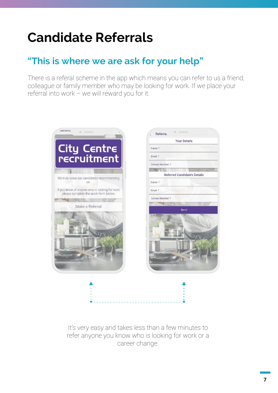# **Candidate Referrals**

### **"This is where we are ask for your help"**

There is a referal scheme in the app which means you can refer to us a friend, colleague or family member who may be looking for work. If we place your referral into work – we will reward you for it.



It's very easy and takes less than a few minutes to refer anyone you know who is looking for work or a career change.